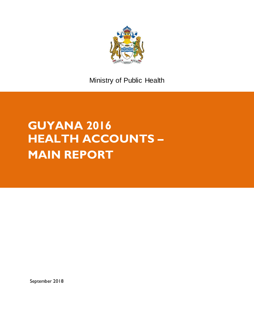

Ministry of Public Health

# **GUYANA 2016 HEALTH ACCOUNTS – MAIN REPORT**

September 2018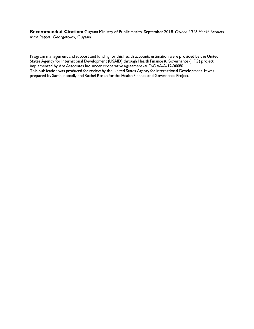**Recommended Citation:** Guyana Ministry of Public Health. September 2018. *Guyana 2016 Health Accounts Main Report.* Georgetown, Guyana.

Program management and support and funding for this health accounts estimation were provided by the United States Agency for International Development (USAID) through Health Finance & Governance (HFG) project, implemented by Abt Associates Inc. under cooperative agreement -AID-OAA-A-12-00080. This publication was produced for review by the United States Agency for International Development. It was prepared by Sarah Insanally and Rachel Rosen for the Health Finance and Governance Project.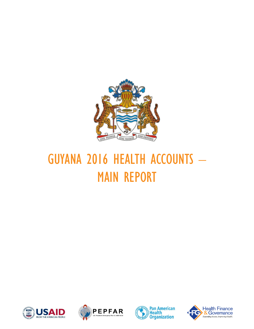

# GUYANA 2016 HEALTH ACCOUNTS – MAIN REPORT







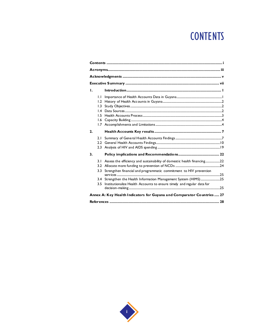# **CONTENTS**

| Ι. |                                                                       |                                                                                                                                               |  |  |
|----|-----------------------------------------------------------------------|-----------------------------------------------------------------------------------------------------------------------------------------------|--|--|
|    | IJ<br>1.2<br>1.3<br>$\mathsf{I}$ .4<br>1.5<br>1.6<br>1.7 <sub>1</sub> |                                                                                                                                               |  |  |
| 2. |                                                                       |                                                                                                                                               |  |  |
|    | 2.1<br>2.2<br>2.3                                                     |                                                                                                                                               |  |  |
| 3. |                                                                       |                                                                                                                                               |  |  |
|    | 3.1<br>3.2<br>3.3                                                     | Assess the efficiency and sustainability of domestic health financing22<br>Strengthen financial and programmatic commitment to HIV prevention |  |  |
|    | 3.4<br>3.5                                                            | Strengthen the Health Information Management System (HIMS)25<br>Institutionalize Health Accounts to ensure timely and regular data for        |  |  |
|    |                                                                       | Annex A: Key Health Indicators for Guyana and Comparator Countries  27                                                                        |  |  |

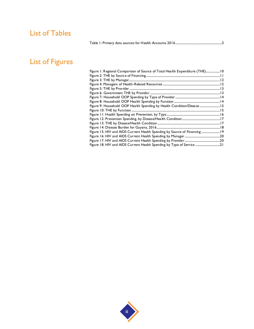#### List of Tables

[Table 1: Primary data sources for Health Accounts 2016......................................................................3](#page-16-0)

## List of Figures

| Figure 1: Regional Comparison of Source of Total Health Expenditure (THE) 10 |  |
|------------------------------------------------------------------------------|--|
|                                                                              |  |
|                                                                              |  |
|                                                                              |  |
|                                                                              |  |
|                                                                              |  |
|                                                                              |  |
|                                                                              |  |
| Figure 9: Household OOP Health Spending by Health Condition/Disease  15      |  |
|                                                                              |  |
|                                                                              |  |
|                                                                              |  |
|                                                                              |  |
|                                                                              |  |
| Figure 15: HIV and AIDS Current Health Spending by Source of Financing  19   |  |
|                                                                              |  |
|                                                                              |  |
|                                                                              |  |
|                                                                              |  |

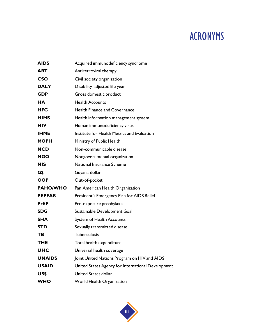## ACRONYMS

| <b>AIDS</b>     | Acquired immunodeficiency syndrome                 |
|-----------------|----------------------------------------------------|
| <b>ART</b>      | Antiretroviral therapy                             |
| <b>CSO</b>      | Civil society organization                         |
| <b>DALY</b>     | Disability-adjusted life year                      |
| <b>GDP</b>      | Gross domestic product                             |
| <b>HA</b>       | <b>Health Accounts</b>                             |
| <b>HFG</b>      | <b>Health Finance and Governance</b>               |
| <b>HIMS</b>     | Health information management system               |
| <b>HIV</b>      | Human immunodeficiency virus                       |
| <b>IHME</b>     | Institute for Health Metrics and Evaluation        |
| <b>MOPH</b>     | Ministry of Public Health                          |
| <b>NCD</b>      | Non-communicable disease                           |
| <b>NGO</b>      | Nongovernmental organization                       |
| <b>NIS</b>      | National Insurance Scheme                          |
| G\$             | Guyana dollar                                      |
| <b>OOP</b>      | Out-of-pocket                                      |
| <b>PAHO/WHO</b> | Pan American Health Organization                   |
| <b>PEPFAR</b>   | President's Emergency Plan for AIDS Relief         |
| <b>PrEP</b>     | Pre-exposure prophylaxis                           |
| <b>SDG</b>      | Sustainable Development Goal                       |
| <b>SHA</b>      | System of Health Accounts                          |
| <b>STD</b>      | Sexually transmitted disease                       |
| TB              | <b>Tuberculosis</b>                                |
| THE             | Total health expenditure                           |
| <b>UHC</b>      | Universal health coverage                          |
| <b>UNAIDS</b>   | Joint United Nations Program on HIV and AIDS       |
| <b>USAID</b>    | United States Agency for International Development |
| US\$            | <b>United States dollar</b>                        |
| <b>WHO</b>      | World Health Organization                          |

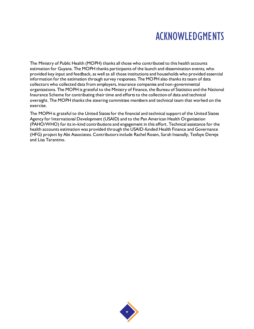# ACKNOWLEDGMENTS

The Ministry of Public Health (MOPH) thanks all those who contributed to this health accounts estimation for Guyana. The MOPH thanks participants of the launch and dissemination events, who provided key input and feedback, as well as all those institutions and households who provided essential information for the estimation through survey responses. The MOPH also thanks its team of data collectors who collected data from employers, insurance companies and non-governmental organizations. The MOPH is grateful to the Ministry of Finance, the Bureau of Statistics and the National Insurance Scheme for contributing their time and efforts to the collection of data and technical oversight. The MOPH thanks the steering committee members and technical team that worked on the exercise.

The MOPH is grateful to the United States for the financial and technical support of the United States Agency for International Development (USAID) and to the Pan American Health Organization (PAHO/WHO) for its in-kind contributions and engagement in this effort. Technical assistance for the health accounts estimation was provided through the USAID-funded Health Finance and Governance (HFG) project by Abt Associates. Contributors include Rachel Rosen, Sarah Insanally, Tesfaye Dereje and Lisa Tarantino.

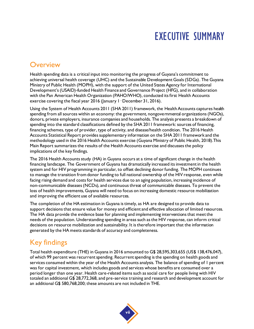# EXECUTIVE SUMMARY

#### **Overview**

Health spending data is a critical input into monitoring the progress of Guyana's commitment to achieving universal health coverage (UHC) and the Sustainable Development Goals (SDGs). The Guyana Ministry of Public Health (MOPH), with the support of the United States Agency for International Development's (USAID)-funded Health Finance and Governance Project (HFG), and in collaboration with the Pan American Health Organization (PAHO/WHO), conducted its first Health Accounts exercise covering the fiscal year 2016 (January 1 - December 31, 2016).

Using the System of Health Accounts 2011 (SHA 2011) framework, the Health Accounts captures health spending from all sources within an economy: the government, nongovernmental organizations (NGOs), donors, private employers, insurance companies and households. The analysis presents a breakdown of spending into the standard classifications defined by the SHA 2011 framework: sources of financing, financing schemes, type of provider, type of activity, and disease/health condition. The 2016 Health Accounts Statistical Report provides supplementary information on the SHA 2011 framework and the methodology used in the 2016 Health Accounts exercise (Guyana Ministry of Public Health, 2018).This Main Report summarizes the results of the Health Accounts exercise and discusses the policy implications of the key findings.

The 2016 Health Accounts study (HA) in Guyana occurs at a time of significant change in the health financing landscape. The Government of Guyana has dramatically increased its investment in the health system and for HIV programming in particular, to offset declining donor funding. The MOPH continues to manage the transition from donor funding to full national ownership of the HIV response, even while facing rising demand and costs for health services due to an aging population, increasing incidence of non-communicable diseases (NCDs), and continuous threat of communicable diseases. To prevent the loss of health improvements, Guyana will need to focus on increasing domestic resource mobilization and improving the efficient use of available resources.

The completion of the HA estimation in Guyana is timely, as HA are designed to provide data to support decisions that ensure value for money and efficient and effective allocation of limited resources. The HA data provide the evidence base for planning and implementing interventions that meet the needs of the population. Understanding spending in areas such as the HIV response, can inform critical decisions on resource mobilization and sustainability. It is therefore important that the information generated by the HA meets standards of accuracy and completeness.

## Key findings

Total health expenditure (THE) in Guyana in 2016 amounted to G\$ 28,595,303,655 (US\$ 138,476,047), of which 99 percent was recurrent spending. Recurrent spending is the spending on health goods and services consumed within the year of the Health Accounts analysis. The balance of spending of 1 percent was for capital investment, which includes goods and services whose benefits are consumed over a period longer than one year. Health care-related items such as social care for people living with HIV totaled an additional G\$ 28,772,368, and pre-service training and research and development account for an additional G\$ 580,768,200; these amounts are not included in THE.

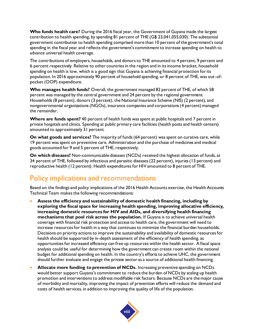**Who funds health care?** During the 2016 fiscal year, the Government of Guyana made the largest contribution to health spending, by spending 81 percent of THE (G\$ 23,041,055,030). The substantial government contribution to health spending comprised more than 10 percent of the government's total spending in the fiscal year and reflects the government's commitment to increase spending on health to advance universal health coverage.

The contributions of employers, households, and donors to THE amounted to 4 percent, 9 percent and 6 percent respectively. Relative to other countries in the region and in its income bracket, household spending on health is low, which is a good sign that Guyana is achieving financial protection for its population. In 2016 approximately 90 percent of household spending, or 8 percent of THE, was out-ofpocket (OOP) expenditure.

**Who manages health funds?** Overall, the government managed 82 percent of THE, of which 58 percent was managed by the central government and 24 percent by the regional government. Households (8 percent), donors (3 percent), the National Insurance Scheme (NIS) (2 percent), and nongovernmental organizations (NGOs), insurance companies and corporations (4 percent) managed the remainder.

**Where are funds spent?** 40 percent of health funds was spent at public hospitals and 7 percent in private hospitals and clinics. Spending at public primary care facilities (health posts and health centers) amounted to approximately 31 percent.

**On what goods and services?** The majority of funds (64 percent) was spent on curative care, while 19 percent was spent on preventive care. Administration and the purchase of medicines and medical goods accounted for 9 and 5 percent of THE, respectively.

**On which diseases?** Non-communicable diseases (NCDs) received the highest allocation of funds, at 34 percent of THE, followed by infectious and parasitic diseases (22 percent), injuries (13 percent) and reproductive health (12 percent). Health expenditures for HIV amounted to 8 percent of THE.

### Policy implications and recommendations

Based on the findings and policy implications of the 2016 Health Accounts exercise, the Health Accounts Technical Team makes the following recommendations:

- **Assess the efficiency and sustainability of domestic health financing, including by exploring the fiscal space for increasing health spending, improving allocative efficiency, increasing domestic resources for HIV and AIDs, and diversifying health financing mechanisms that pool risk across the population.** If Guyana is to achieve universal health coverage with financial risk protection and access to health care, the government will need to increase resources for health in a way that continues to minimize the financial burden households. Decisions on priority actions to improve the sustainability and availability of domestic resources for health should be supported by in-depth assessment of the efficiency of health spending, as opportunities for increased efficiency can free up resources within the health sector. A fiscal space analysis could be useful for determining how the government can create room within the national budget for additional spending on health. In the country's efforts to achieve UHC, the government should further evaluate and engage the private sector as a source of additional health financing.
- **Allocate more funding to prevention of NCDs.** Increasing preventive spending on NCDs would better support Guyana's commitment to reduce the burden of NCDs by scaling up health promotion and interventions to address modifiable risk factors. Because NCDs are the major cause of morbidity and mortality, improving the impact of prevention efforts will reduce the demand and costs of health services, in addition to improving the quality of life of the population.

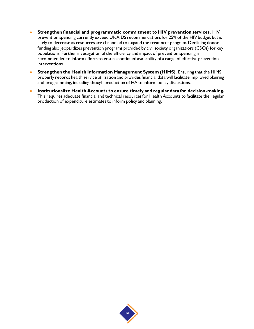- **Strengthen financial and programmatic commitment to HIV prevention services.** HIV prevention spending currently exceed UNAIDS recommendations for 25% of the HIV budget but is likely to decrease as resources are channeled to expand the treatment program. Declining donor funding also jeopardizes prevention programs provided by civil society organizations (CSOs) for key populations. Further investigation of the efficiency and impact of prevention spending is recommended to inform efforts to ensure continued availability of a range of effective prevention interventions.
- **Strengthen the Health Information Management System (HIMS).** Ensuring that the HIMS properly records health service utilization and provides financial data will facilitate improved planning and programming, including though production of HA to inform policy discussions.
- **Institutionalize Health Accounts to ensure timely and regular data for decision-making.** This requires adequate financial and technical resources for Health Accounts to facilitate the regular production of expenditure estimates to inform policy and planning.

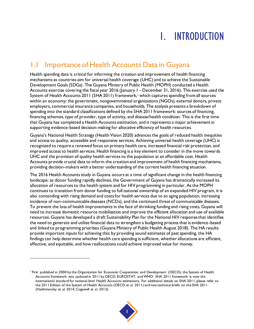# 1. INTRODUCTION

#### 1.1 Importance of Health Accounts Data in Guyana

Health spending data is critical for informing the creation and improvement of health financing mechanisms as countries aim for universal health coverage (UHC) and to achieve the Sustainable Development Goals (SDGs). The Guyana Ministry of Public Health (MOPH) conducted a Health Accounts exercise covering the fiscal year 2016 (January 1 - December 31, 2016). This exercise used the System of Health Accounts 2011 (SHA 2011) framework,<sup>1</sup> which captures spending from all sources within an economy: the government, nongovernmental organizations (NGOs), external donors, private employers, commercial insurance companies, and households. The analysis presents a breakdown of spending into the standard classifications defined by the SHA 2011 framework: sources of financing, financing schemes, type of provider, type of activity, and disease/health condition. This is the first time that Guyana has completed a Health Accounts estimation, and it represents a major achievement in supporting evidence-based decision-making for allocative efficiency of health resources.

Guyana's National Health Strategy (Health Vision 2020) advances the goals of reduced health inequities and access to quality, accessible and responsive services. Achieving universal health coverage (UHC) is recognized to require a renewed focus on primary health care, increased financial risk protection, and improved access to health services. Health financing is a key element to consider in the move towards UHC and the provision of quality health services to the population at an affordable cost. Health Accounts provide crucial data to inform the creation and improvement of health financing mechanisms, providing decision-makers with a better understanding of the current health financing situation.

The 2016 Health Accounts study in Guyana occurs at a time of significant change in the health financing landscape: as donor funding rapidly declines, the Government of Guyana has dramatically increased its allocation of resources to the health system and for HIV programming in particular. As the MOPH continues to transition from donor funding to full national ownership of an expanded HIV program, it is also contending with rising demand and costs for health services due to an aging population, increasing incidence of non-communicable diseases (NCDs), and the continued threat of communicable diseases. To prevent the loss of health improvements in the face of shrinking funding and rising costs, Guyana will need to increase domestic resource mobilization and improve the efficient allocation and use of available resources. Guyana has developed a draft Sustainability Plan for the National HIV response that identifies the need to generate and utilize financial data to strengthen a budgeting process that is evidence-based and linked to programming priorities (Guyana Ministry of Public Health August 2018). The HA results provide important inputs for achieving this: by providing sound estimates of past spending, the HA findings can help determine whether health care spending is sufficient, whether allocations are efficient, effective, and equitable, and how reallocations could achieve improved value for money.



<sup>1</sup> First published in 2000 by the Organization for Economic Cooperation and Development (OECD), the System of Health Accounts framework was updated in 2011 by OECD, EUROSTAT, and WHO. SHA 2011 framework is now the international standard for national-level Health Accounts estimations. For additional details on SHA 2011, please refer to the 2011 Edition of the System of Health Accounts (OECD et al. 2011) and two technical briefs on the SHA 2011 (Nakhimovsky et al. 2014; Cogswell et al. 2013).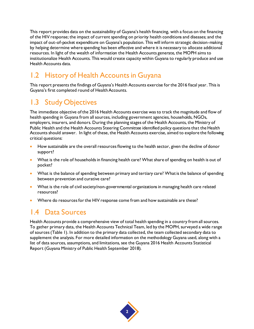This report provides data on the sustainability of Guyana's health financing, with a focus on the financing of the HIV response; the impact of current spending on priority health conditions and diseases; and the impact of out-of-pocket expenditure on Guyana's population. This will inform strategic decision-making by helping determine where spending has been effective and where it is necessary to allocate additional resources. In light of the wealth of information the Health Accounts generate, the MOPH aims to institutionalize Health Accounts. This would create capacity within Guyana to regularly produce and use Health Accounts data.

## 1.2 History of Health Accounts in Guyana

This report presents the findings of Guyana's Health Accounts exercise for the 2016 fiscal year. This is Guyana's first completed round of Health Accounts.

### 1.3 Study Objectives

The immediate objective of the 2016 Health Accounts exercise was to track the magnitude and flow of health spending in Guyana from all sources, including government agencies, households, NGOs, employers, insurers, and donors. During the planning stages of the Health Accounts, the Ministry of Public Health and the Health Accounts Steering Committee identified policy questions that the Health Accounts should answer. In light of these, the Health Accounts exercise, aimed to explore the following critical questions:

- How sustainable are the overall resources flowing to the health sector, given the decline of donor support?
- What is the role of households in financing health care? What share of spending on health is out of pocket?
- What is the balance of spending between primary and tertiary care? What is the balance of spending between prevention and curative care?
- What is the role of civil society/non-governmental organizations in managing health care related resources?
- Where do resources for the HIV response come from and how sustainable are these?

#### 1.4 Data Sources

Health Accounts provide a comprehensive view of total health spending in a country from all sources. To gather primary data, the Health Accounts Technical Team, led by the MOPH, surveyed a wide range of sources [\(Table 1\)](#page-16-0). In addition to the primary data collected, the team collected secondary data to supplement the analysis. For more detailed information on the methodology Guyana used, along with a list of data sources, assumptions, and limitations, see the Guyana 2016 Health Accounts Statistical Report (Guyana Ministry of Public Health September 2018).

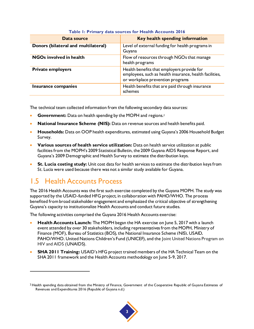<span id="page-16-0"></span>

| Data source                         | Key health spending information                                                                                                           |
|-------------------------------------|-------------------------------------------------------------------------------------------------------------------------------------------|
| Donors (bilateral and multilateral) | Level of external funding for health programs in<br>Guyana                                                                                |
| <b>NGOs involved in health</b>      | Flow of resources through NGOs that manage<br>health programs                                                                             |
| <b>Private employers</b>            | Health benefits that employers provide for<br>employees, such as health insurance, health facilities,<br>or workplace prevention programs |
| Insurance companies                 | Health benefits that are paid through insurance<br>schemes                                                                                |

#### **Table 1: Primary data sources for Health Accounts 2016**

The technical team collected information from the following secondary data sources:

- **Government:** Data on health spending by the MOPH and regions.<sup>2</sup>
- **National Insurance Scheme (NIS):** Data on revenue sources and health benefits paid.
- **Households:** Data on OOP health expenditures, estimated using Guyana's 2006 Household Budget Survey.
- **Various sources of health service utilization:** Data on health service utilization at public facilities from the MOPH's 2009 Statistical Bulletin, the 2009 Guyana AIDS Response Report, and Guyana's 2009 Demographic and Health Survey to estimate the distribution keys.
- **St. Lucia costing study:** Unit cost data for health services to estimate the distribution keys from St. Lucia were used because there was not a similar study available for Guyana.

## 1.5 Health Accounts Process

l

The 2016 Health Accounts was the first such exercise completed by the Guyana MOPH. The study was supported by the USAID-funded HFG project, in collaboration with PAHO/WHO. The process benefited from broad stakeholder engagement and emphasized the critical objective of strengthening Guyana's capacity to institutionalize Health Accounts and conduct future studies.

The following activities comprised the Guyana 2016 Health Accounts exercise:

- **Health Accounts Launch:** The MOPH began the HA exercise on June 5, 2017 with a launch event attended by over 30 stakeholders, including representatives from the MOPH, Ministry of Finance (MOF), Bureau of Statistics (BOS), the National Insurance Scheme (NIS), USAID, PAHO/WHO. United Nations Children's Fund (UNICEF), and the Joint United Nations Program on HIV and AIDS (UNAIDS).
- **SHA 2011 Training:** USAID's HFG project trained members of the HA Technical Team on the SHA 2011 framework and the Health Accounts methodology on June 5-9, 2017.

 $2$  Health spending data obtained from the Ministry of Finance, Government of the Cooperative Republic of Guyana Estimates of Revenues and Expenditures 2016 (Republic of Guyana n.d.)

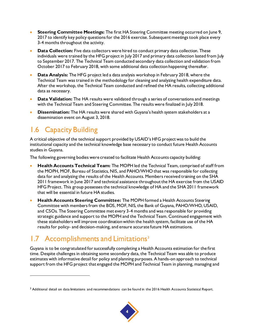- **Steering Committee Meetings:** The first HA Steering Committee meeting occurred on June 9, 2017 to identify key policy questions for the 2016 exercise. Subsequent meetings took place every 3-4 months throughout the activity.
- **Data Collection:** Five data collectors were hired to conduct primary data collection. These individuals were trained by the HFG project in July 2017 and primary data collection lasted from July to September 2017. The Technical Team conducted secondary data collection and validation from October 2017 to February 2018, with some additional data collection happening thereafter.
- **Data Analysis:** The HFG project led a data analysis workshop in February 2018, where the Technical Team was trained in the methodology for cleaning and analyzing health expenditure data. After the workshop, the Technical Team conducted and refined the HA results, collecting additional data as necessary.
- **Data Validation:** The HA results were validated through a series of conversations and meetings with the Technical Team and Steering Committee. The results were finalized in July 2018.
- **Dissemination:** The HA results were shared with Guyana's health system stakeholders at a dissemination event on August 3, 2018.

## 1.6 Capacity Building

l

A critical objective of the technical support provided by USAID's HFG project was to build the institutional capacity and the technical knowledge base necessary to conduct future Health Accounts studies in Guyana.

The following governing bodies were created to facilitate Health Accounts capacity building:

- **Health Accounts Technical Team:** The MOPH led the Technical Team, comprised of staff from the MOPH, MOF, Bureau of Statistics, NIS, and PAHO/WHO that was responsible for collecting data for and analyzing the results of the Health Accounts. Members received training on the SHA 2011 framework in June 2017 and technical assistance throughout the HA exercise from the USAID HFG Project. This group possesses the technical knowledge of HA and the SHA 2011 framework that will be essential in future HA studies.
- **Health Accounts Steering Committee:** The MOPH formed a Health Accounts Steering Committee with members from the BOS, MOF, NIS, the Bank of Guyana, PAHO/WHO, USAID, and CSOs. The Steering Committee met every 3-4 months and was responsible for providing strategic guidance and support to the MOPH and the Technical Team. Continued engagement with these stakeholders will improve coordination within the health system, facilitate use of the HA results for policy- and decision-making, and ensure accurate future HA estimations.

## 1.7 Accomplishments and Limitations<sup>3</sup>

Guyana is to be congratulated for successfully completing a Health Accounts estimation for the first time. Despite challenges in obtaining some secondary data, the Technical Team was able to produce estimates with informative detail for policy and planning purposes. A hands-on approach to technical support from the HFG project that engaged the MOPH and Technical Team in planning, managing and

<sup>&</sup>lt;sup>3</sup> Additional detail on data limitations and recommendations can be found in the 2016 Health Accounts Statistical Report.

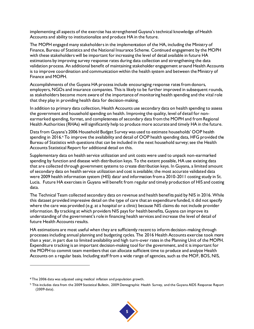implementing all aspects of the exercise has strengthened Guyana's technical knowledge of Health Accounts and ability to institutionalize and produce HA in the future.

The MOPH engaged many stakeholders in the implementation of the HA, including the Ministry of Finance, Bureau of Statistics and the National Insurance Scheme. Continued engagement by the MOPH with these stakeholders will be important for increasing the level of detail available in future HA estimations by improving survey response rates during data collection and strengthening the data validation process. An additional benefit of maintaining stakeholder engagement around Health Accounts is to improve coordination and communication within the health system and between the Ministry of Finance and MOPH.

Accomplishments of the Guyana HA process include encouraging response rates from donors, employers, NGOs and insurance companies. This is likely to be further improved in subsequent rounds, as stakeholders become more aware of the importance of monitoring health spending and the vital role that they play in providing health data for decision-making.

In addition to primary data collection, Health Accounts use secondary data on health spending to assess the government and household spending on health. Improving the quality, level of detail for nonearmarked spending, format, and completeness of secondary data from the MOPH and from Regional Health Authorities (RHAs) will significantly help to produce more accurate and timely HA in the future.

Data from Guyana's 2006 Household Budget Survey was used to estimate households' OOP health spending in 2016.<sup>4</sup> To improve the availability and detail of OOP health spending data, HFG provided the Bureau of Statistics with questions that can be included in the next household survey; see the Health Accounts Statistical Report for additional detail on this.

Supplementary data on health service utilization and unit costs were used to unpack non-earmarked spending by function and disease with distribution keys. To the extent possible, HA use existing data that are collected through government systems to create distribution keys. In Guyana, a limited amount of secondary data on health service utilization and cost is available; the most accurate validated data were 2009 health information system (HIS) data<sup>5</sup> and information from a 2010-2011 costing study in St. Lucia. Future HA exercises in Guyana will benefit from regular and timely production of HIS and costing data.

The Technical Team collected secondary data on revenue and health benefits paid by NIS in 2016. While this dataset provided impressive detail on the type of care that an expenditure funded, it did not specify where the care was provided (e.g. at a hospital or a clinic) because NIS claims do not include provider information. By tracking at which providers NIS pays for health benefits, Guyana can improve its understanding of the government's role in financing health services and increase the level of detail of future Health Accounts results.

HA estimations are most useful when they are sufficiently recent to inform decision-making through processes including annual planning and budgeting cycles. The 2016 Health Accounts exercise took more than a year, in part due to limited availability and high turn-over rates in the Planning Unit of the MOPH. Expenditure tracking is an important decision-making tool for the government, and it is important for the MOPH to commit team members that can allocate sufficient time to produce and analyze Health Accounts on a regular basis. Including staff from a wide range of agencies, such as the MOF, BOS, NIS,

<sup>5</sup> This includes data from the 2009 Statistical Bulletin, 2009 Demographic Health Survey, and the Guyana AIDS Response Report (2009 data).



<sup>4</sup> The 2006 data was adjusted using medical inflation and population growth.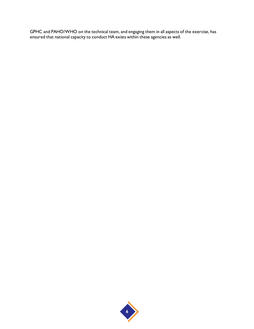GPHC and PAHO/WHO on the technical team, and engaging them in all aspects of the exercise, has ensured that national capacity to conduct HA exists within these agencies as well.

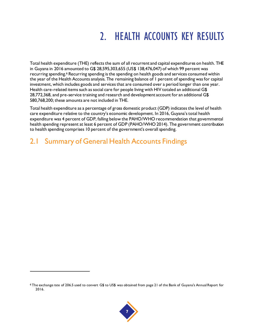# 2. HEALTH ACCOUNTS KEY RESULTS

Total health expenditure (THE) reflects the sum of all recurrent and capital expenditures on health. THE in Guyana in 2016 amounted to G\$ 28,595,303,655 (US\$ 138,476,047) of which 99 percent was recurring spending.<sup>6</sup> Recurring spending is the spending on health goods and services consumed within the year of the Health Accounts analysis. The remaining balance of 1 percent of spending was for capital investment, which includes goods and services that are consumed over a period longer than one year. Health care-related items such as social care for people living with HIV totaled an additional G\$ 28,772,368, and pre-service training and research and development account for an additional G\$ 580,768,200; these amounts are not included in THE.

Total health expenditure as a percentage of gross domestic product (GDP) indicates the level of health care expenditure relative to the country's economic development. In 2016, Guyana's total health expenditure was 4 percent of GDP, falling below the PAHO/WHO recommendation that governmental health spending represent at least 6 percent of GDP (PAHO/WHO 2014). The government contribution to health spending comprises 10 percent of the government's overall spending.

#### 2.1 Summary of General Health Accounts Findings



<sup>6</sup> The exchange rate of 206.5 used to convert G\$ to US\$ was obtained from page 21 of the Bank of Guyana's Annual Report for 2016.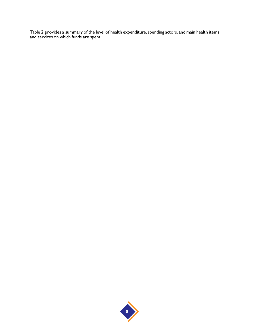<span id="page-21-0"></span>[Table 2](#page-21-0) provides a summary of the level of health expenditure, spending actors, and main health items and services on which funds are spent.

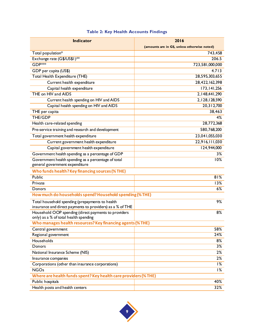| <b>Indicator</b>                                                                              | 2016                                         |  |  |
|-----------------------------------------------------------------------------------------------|----------------------------------------------|--|--|
|                                                                                               | (amounts are in G\$, unless otherwise noted) |  |  |
| Total population*                                                                             | 743,458                                      |  |  |
| Exchange rate (G\$/US\$1)**                                                                   | 206.5                                        |  |  |
| GDP <sub>***</sub>                                                                            | 723,581,000,000                              |  |  |
| GDP per capita (US\$)                                                                         | 4.713                                        |  |  |
| <b>Total Health Expenditure (THE)</b>                                                         | 28,595,303,655                               |  |  |
| Current health expenditure                                                                    | 28,422,162,398                               |  |  |
| Capital health expenditure                                                                    | 173, 141, 256                                |  |  |
| THE on HIV and AIDS                                                                           | 2, 148, 441, 290                             |  |  |
| Current health spending on HIV and AIDS                                                       | 2, 128, 128, 590                             |  |  |
| Capital health spending on HIV and AIDS                                                       | 20,312,700                                   |  |  |
| THE per capita                                                                                | 38,463                                       |  |  |
| THE/GDP                                                                                       | 4%                                           |  |  |
| Health care-related spending                                                                  | 28,772,368                                   |  |  |
| Pre-service training and research and development                                             | 580,768,200                                  |  |  |
| Total government health expenditure                                                           | 23,041,055,030                               |  |  |
| Current government health expenditure                                                         | 22,916,111,030                               |  |  |
| Capital government health expenditure                                                         | 124,944,000                                  |  |  |
| Government health spending as a percentage of GDP                                             | 3%                                           |  |  |
| Government health spending as a percentage of total                                           | 10%                                          |  |  |
| general government expenditure                                                                |                                              |  |  |
| Who funds health? Key financing sources (% THE)                                               |                                              |  |  |
| <b>Public</b>                                                                                 | 81%                                          |  |  |
| Private                                                                                       | 13%                                          |  |  |
| Donors                                                                                        | $6\%$                                        |  |  |
| How much do households spend? Household spending (% THE)                                      |                                              |  |  |
| Total household spending (prepayments to health                                               | 9%                                           |  |  |
| insurance and direct payments to providers) as a % of THE                                     |                                              |  |  |
| Household OOP spending (direct payments to providers<br>only) as a % of total health spending | 8%                                           |  |  |
| Who manages health resources? Key financing agents (% THE)                                    |                                              |  |  |
| Central government                                                                            | 58%                                          |  |  |
| Regional government                                                                           | 24%                                          |  |  |
| Households                                                                                    | 8%                                           |  |  |
| Donors                                                                                        | 3%                                           |  |  |
| National Insurance Scheme (NIS)                                                               | 2%                                           |  |  |
| Insurance companies                                                                           | 2%                                           |  |  |
| Corporations (other than insurance corporations)                                              | $1\%$                                        |  |  |
| <b>NGOs</b>                                                                                   | $1\%$                                        |  |  |
| Where are health funds spent? Key health care providers (% THE)                               |                                              |  |  |
| Public hospitals                                                                              | 40%                                          |  |  |
| Health posts and health centers                                                               | 32%                                          |  |  |

#### **Table 2: Key Health Accounts Findings**

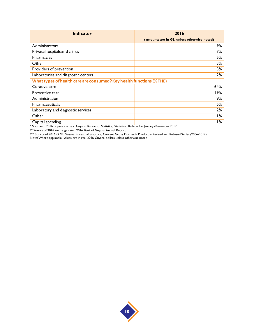| <b>Indicator</b>                                                     | 2016                                         |  |  |
|----------------------------------------------------------------------|----------------------------------------------|--|--|
|                                                                      | (amounts are in G\$, unless otherwise noted) |  |  |
| Administrators                                                       | 9%                                           |  |  |
| Private hospitals and clinics                                        | 7%                                           |  |  |
| <b>Pharmacies</b>                                                    | 5%                                           |  |  |
| Other                                                                | 3%                                           |  |  |
| Providers of prevention                                              | 3%                                           |  |  |
| Laboratories and diagnostic centers                                  | 2%                                           |  |  |
| What types of health care are consumed? Key health functions (% THE) |                                              |  |  |
| Curative care                                                        | 64%                                          |  |  |
| Preventive care                                                      | 19%                                          |  |  |
| Administration                                                       | 9%                                           |  |  |
| Pharmaceuticals                                                      | 5%                                           |  |  |
| Laboratory and diagnostic services                                   | 2%                                           |  |  |
| Other                                                                | 1%                                           |  |  |
| Capital spending                                                     | ا %                                          |  |  |

\* Source of 2016 population data: Guyana Bureau of Statistics, Statistical Bulletin for January-December 2017.

\*\* Source of 2016 exchange rate: 2016 Bank of Guyana Annual Report.

\*\*\* Source of 2016 GDP: Guyana Bureau of Statistics, Current Gross Domestic Product – Revised and Rebased Series (2006-2017).

Note: Where applicable, values are in real 2016 Guyana dollars unless otherwise noted

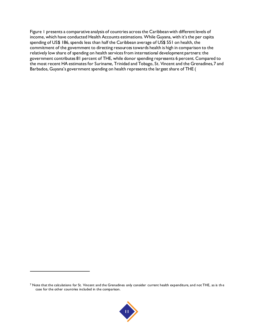[Figure](#page-25-0) 1 presents a comparative analysis of countries across the Caribbean with different levels of income, which have conducted Health Accounts estimations. While Guyana, with it's the per capita spending of US\$ 186, spends less than half the Caribbean average of US\$ 551 on health, the commitment of the government to directing resources towards health is high in comparison to the relatively low share of spending on health services from international development partners: the government contributes 81 percent of THE, while donor spending represents 6 percent. Compared to the most recent HA estimates for Suriname, Trinidad and Tobago, St. Vincent and the Grenadines,7 and Barbados, Guyana's government spending on health represents the largest share of THE [\(](#page-25-0)



 $<sup>7</sup>$  Note that the calculations for St. Vincent and the Grenadines only consider current health expenditure, and not THE, as is the</sup> case for the other countries included in the comparison.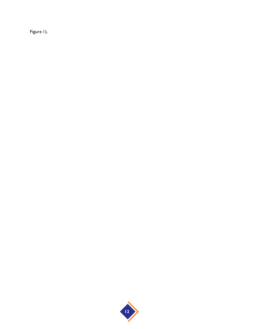<span id="page-25-0"></span>Figure I).

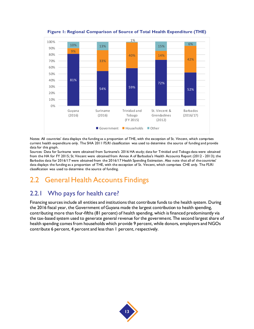<span id="page-26-0"></span>

**Figure 1: Regional Comparison of Source of Total Health Expenditure (THE)**

Notes: All countries' data displays the funding as a proportion of THE, with the exception of St. Vincent, which comprises current health expenditure only. The SHA 2011 FS.RI classification was used to determine the source of funding and provide data for this graph.

Sources: Data for Suriname were obtained from Suriname's 2016 HA study; data for Trinidad and Tobago data were obtained from the HA for FY 2015; St. Vincent were obtained from Annex A of Barbados's Health Accounts Report (2012 - 2013); the Barbados data for 2016/17 were obtained from the 2016/17 Health Spending Estimation. Also note that all of the countries' data displays the funding as a proportion of THE, with the exception of St. Vincent, which comprises CHE only. The FS.RI classification was used to determine the source of funding.

#### 2.2 General Health Accounts Findings

#### 2.2.1 Who pays for health care?

Financing sources include all entities and institutions that contribute funds to the health system. During the 2016 fiscal year, the Government of Guyana made the largest contribution to health spending, contributing more than four-fifths (81 percent) of health spending, which is financed predominantly via the tax-based system used to generate general revenue for the government. The second largest share of health spending comes from households which provide 9 percent, while donors, employers and NGOs contribute 6 percent, 4 percent and less than 1 percent, respectively.

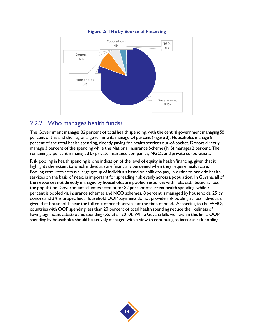<span id="page-27-0"></span>

#### **Figure 2: THE by Source of Financing**

#### 2.2.2 Who manages health funds?

The Government manages 82 percent of total health spending, with the central government managing 58 percent of this and the regional governments manage 24 percent [\(Figure 3\)](#page-28-0). Households manage 8 percent of the total health spending, directly paying for health services out-of-pocket. Donors directly manage 3 percent of the spending while the National Insurance Scheme (NIS) manages 2 percent. The remaining 5 percent is managed by private insurance companies, NGOs and private corporations.

Risk pooling in health spending is one indication of the level of equity in health financing, given that it highlights the extent to which individuals are financially burdened when they require health care. Pooling resources across a large group of individuals based on ability to pay, in order to provide health services on the basis of need, is important for spreading risk evenly across a population. In Guyana, all of the resources not directly managed by households are pooled resources with risks distributed across the population. Government schemes account for 82 percent of current health spending, while 5 percent is pooled via insurance schemes and NGO schemes, 8 percent is managed by households, 25 by donors and 3% is unspecified. Household OOP payments do not provide risk pooling across individuals, given that households bear the full cost of health services at the time of need. According to the WHO, countries with OOP spending less than 20 percent of total health spending reduce the likeliness of having significant catastrophic spending (Xu et al. 2010). While Guyana falls well within this limit, OOP spending by households should be actively managed with a view to continuing to increase risk pooling.

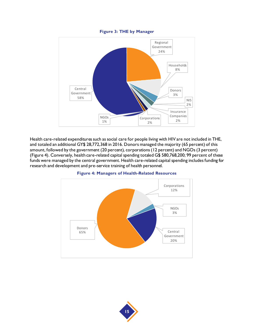#### **Figure 3: THE by Manager**

<span id="page-28-0"></span>

Health care-related expenditures such as social care for people living with HIV are not included in THE, and totaled an additional GY\$ 28,772,368 in 2016. Donors managed the majority (65 percent) of this amount, followed by the government (20 percent), corporations (12 percent) and NGOs (3 percent) [\(Figure 4\)](#page-28-1). Conversely, health care-related capital spending totaled G\$ 580,768,200; 99 percent of these funds were managed by the central government. Health care-related capital spending includes funding for research and development and pre-service training of health personnel.

<span id="page-28-1"></span>

#### **Figure 4: Managers of Health-Related Resources**

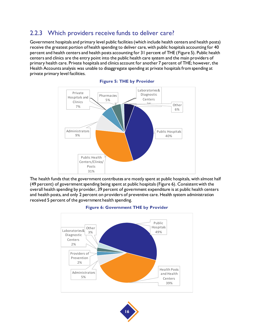#### 2.2.3 Which providers receive funds to deliver care?

Government hospitals and primary level public facilities (which include health centers and health posts) receive the greatest portion of health spending to deliver care, with public hospitals accounting for 40 percent and health centers and health posts accounting for 31 percent of THE [\(Figure 5\)](#page-29-0). Public health centers and clinics are the entry point into the public health care system and the main providers of primary health care. Private hospitals and clinics account for another 7 percent of THE; however, the Health Accounts analysis was unable to disaggregate spending at private hospitals from spending at private primary level facilities.

<span id="page-29-0"></span>



<span id="page-29-1"></span>The health funds that the government contributes are mostly spent at public hospitals, with almost half (49 percent) of government spending being spent at public hospitals [\(Figure 6\)](#page-29-1). Consistent with the overall health spending by provider, 39 percent of government expenditure is at public health centers and health posts, and only 2 percent on providers of preventive care. Health system administration received 5 percent of the government health spending.





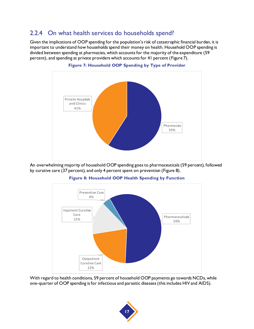#### 2.2.4 On what health services do households spend?

Given the implications of OOP spending for the population's risk of catastrophic financial burden, it is important to understand how households spend their money on health. Household OOP spending is divided between spending at pharmacies, which accounts for the majority of the expenditure (59 percent), and spending at private providers which accounts for 41 percent [\(Figure 7\)](#page-30-0).

<span id="page-30-0"></span>

**Figure 7: Household OOP Spending by Type of Provider**

<span id="page-30-1"></span>An overwhelming majority of household OOP spending goes to pharmaceuticals (59 percent), followed by curative care (37 percent), and only 4 percent spent on prevention [\(Figure 8](#page-30-1)).



#### **Figure 8: Household OOP Health Spending by Function**

With regard to health conditions, 59 percent of household OOP payments go towards NCDs, while one-quarter of OOP spending is for infectious and parasitic diseases (this includes HIV and AIDS).

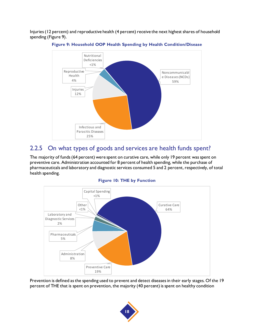<span id="page-31-0"></span>Injuries (12 percent) and reproductive health (4 percent) receive the next highest shares of household spending [\(Figure 9\)](#page-31-0).





#### 2.2.5 On what types of goods and services are health funds spent?

The majority of funds (64 percent) were spent on curative care, while only 19 percent was spent on preventive care. Administration accounted for 8 percent of health spending, while the purchase of pharmaceuticals and laboratory and diagnostic services consumed 5 and 2 percent, respectively, of total health spending.



<span id="page-31-1"></span>

Prevention is defined as the spending used to prevent and detect diseases in their early stages. Of the 19 percent of THE that is spent on prevention, the majority (40 percent) is spent on healthy condition

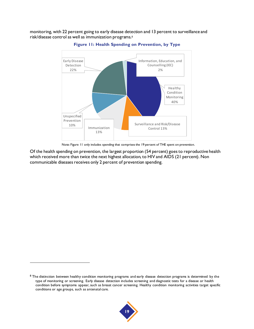<span id="page-32-0"></span>monitoring, with 22 percent going to early disease detection and 13 percent to surveillance and risk/disease control as well as immunization programs.<sup>8</sup>



**Figure 11: Health Spending on Prevention, by Type**

Note[: Figure 11](#page-32-0) only includes spending that comprises the 19 percent of THE spent on prevention.

Of the health spending on prevention, the largest proportion (54 percent) goes to reproductive health which received more than twice the next highest allocation, to HIV and AIDS (21 percent). Non communicable diseases receives only 2 percent of prevention spending.



<sup>&</sup>lt;sup>8</sup> The distinction between healthy condition monitoring programs and early disease detection programs is determined by the type of monitoring or screening. Early disease detection includes screening and diagnostic tests for a disease or health condition before symptoms appear, such as breast cancer screening. Healthy condition monitoring activities target specific conditions or age groups, such as antenatal care.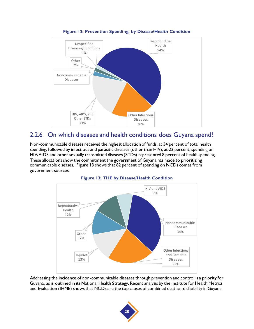<span id="page-33-0"></span>

#### **Figure 12: Prevention Spending, by Disease/Health Condition**

#### 2.2.6 On which diseases and health conditions does Guyana spend?

Non-communicable diseases received the highest allocation of funds, at 34 percent of total health spending, followed by infectious and parasitic diseases (other than HIV), at 22 percent; spending on HIV/AIDS and other sexually transmitted diseases (STDs) represented 8 percent of health spending. These allocations show the commitment the government of Guyana has made to prioritizing communicable diseases. [Figure 13](#page-33-1) shows that 82 percent of spending on NCDs comes from government sources.

<span id="page-33-1"></span>



Addressing the incidence of non-communicable diseases through prevention and control is a priority for Guyana, as is outlined in its National Health Strategy. Recent analysis by the Institute for Health Metrics and Evaluation (IHME) shows that NCDs are the top causes of combined death and disability in Guyana

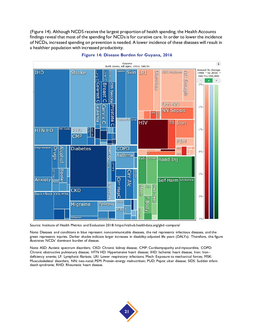[\(Figure 14\)](#page-34-0). Although NCDS receive the largest proportion of health spending, the Health Accounts findings reveal that most of the spending for NCDs is for curative care. In order to lower the incidence of NCDs, increased spending on prevention is needed. A lower incidence of these diseases will result in a healthier population with increased productivity.

<span id="page-34-0"></span>



Source: Institute of Health Metrics and Evaluation 2018: https://vizhub.healthdata.org/gbd-compare/

Note: Diseases and conditions in blue represent noncommunicable diseases, the red represents infectious diseases, and the green represents injuries. Darker shades indicate larger increases in disability-adjusted life years (DALYs). Therefore, this figure illustrates NCDs' dominant burden of disease.

Note: ASD: Autistic spectrum disorders; CKD: Chronic kidney disease; CMP: Cardiomyopathy and myocarditis; COPD: Chronic obstructive pulmonary disease; HTN HD: Hypertensive heart disease; IHD: Ischemic heart disease; Iron: Iron deficiency anemia; LF: Lymphatic filariasis; LRI: Lower respiratory infections; Mech: Exposure to mechanical forces; MSK: Musculoskeletal disorders; NN: neo-natal; PEM: Protein-energy malnutrition; PUD: Peptic ulcer disease; SIDS: Sudden infant death syndrome; RHD: Rheumatic heart disease.

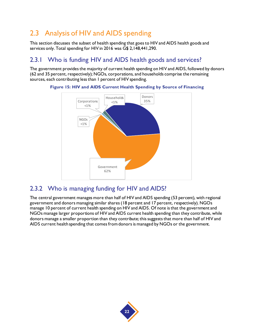## 2.3 Analysis of HIV and AIDS spending

This section discusses the subset of health spending that goes to HIV and AIDS health goods and services only. Total spending for HIV in 2016 was G\$ 2,148,441,290.

#### 2.3.1 Who is funding HIV and AIDS health goods and services?

<span id="page-35-0"></span>The government provides the majority of current health spending on HIV and AIDS, followed by donors (62 and 35 percent, respectively); NGOs, corporations, and households comprise the remaining sources, each contributing less than 1 percent of HIV spending.



**Figure 15: HIV and AIDS Current Health Spending by Source of Financing**

#### 2.3.2 Who is managing funding for HIV and AIDS?

The central government manages more than half of HIV and AIDS spending (53 percent), with regional government and donors managing similar shares (18 percent and 17 percent, respectively). NGOs manage 10 percent of current health spending on HIV and AIDS. Of note is that the government and NGOs manage larger proportions of HIV and AIDS current health spending than they contribute, while donors manage a smaller proportion than they contribute; this suggests that more than half of HIV and AIDS current health spending that comes from donors is managed by NGOs or the government.

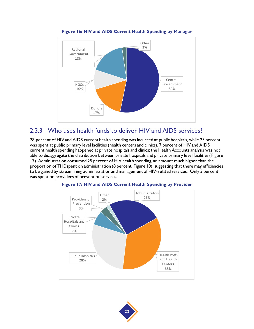<span id="page-36-0"></span>

#### **Figure 16: HIV and AIDS Current Health Spending by Manager**

#### 2.3.3 Who uses health funds to deliver HIV and AIDS services?

28 percent of HIV and AIDS current health spending was incurred at public hospitals, while 25 percent was spent at public primary level facilities (health centers and clinics). 7 percent of HIV and AIDS current health spending happened at private hospitals and clinics; the Health Accounts analysis was not able to disaggregate the distribution between private hospitals and private primary level facilities ( [Figure](#page-36-1)  [17\)](#page-36-1). Administration consumed 25 percent of HIV health spending, an amount much higher than the proportion of THE spent on administration (8 percent[, Figure 10\)](#page-31-1), suggesting that there may efficiencies to be gained by streamlining administration and management of HIV-related services. Only 3 percent was spent on providers of prevention services.

<span id="page-36-1"></span>

#### **Figure 17: HIV and AIDS Current Health Spending by Provider**

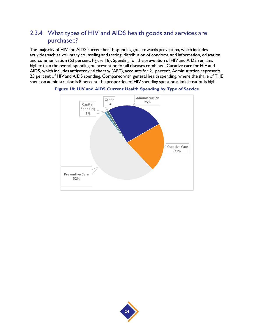#### 2.3.4 What types of HIV and AIDS health goods and services are purchased?

The majority of HIV and AIDS current health spending goes towards prevention, which includes activities such as voluntary counseling and testing, distribution of condoms, and information, education and communication (52 percent[, Figure 18](#page-37-0)). Spending for the prevention of HIV and AIDS remains higher than the overall spending on prevention for all diseases combined. Curative care for HIV and AIDS, which includes antiretroviral therapy (ART), accounts for 21 percent. Administration represents 25 percent of HIV and AIDS spending. Compared with general health spending, where the share of THE spent on administration is 8 percent, the proportion of HIV spending spent on administration is high.



<span id="page-37-0"></span>

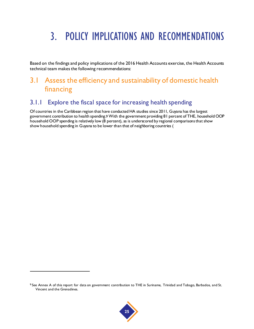# 3. POLICY IMPLICATIONS AND RECOMMENDATIONS

Based on the findings and policy implications of the 2016 Health Accounts exercise, the Health Accounts technical team makes the following recommendations:

#### 3.1 Assess the efficiency and sustainability of domestic health financing

#### 3.1.1 Explore the fiscal space for increasing health spending

Of countries in the Caribbean region that have conducted HA studies since 2011, Guyana has the largest government contribution to health spending.9 With the government providing 81 percent of THE, household OOP household OOP spending is relatively low (8 percent), as is underscored by regional comparisons that show show household spending in Guyana to be lower than that of neighboring countries [\(](#page-25-0)



<sup>9</sup> See Annex A of this report for data on government contribution to THE in Suriname, Trinidad and Tobago, Barbados, and St. Vincent and the Grenadines.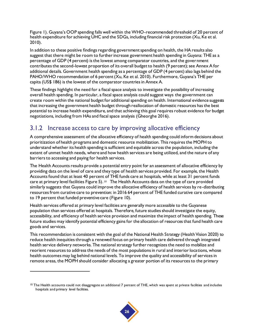[Figure 1](#page-25-0)). Guyana's OOP spending falls well within the WHO-recommended threshold of 20 percent of health expenditure for achieving UHC and the SDGs, including financial risk protection (Xu, Ke et al. 2010).

In addition to these positive findings regarding government spending on health, the HA results also suggest that there might be room to further increase government health spending in Guyana: THE as a percentage of GDP (4 percent) is the lowest among comparator countries, and the government contributes the second-lowest proportion of its overall budget to health (9 percent); see Annex A for additional details. Government health spending as a percentage of GDP (4 percent) also lags behind the PAHO/WHO recommendation of 6 percent (Xu, Ke et al. 2010). Furthermore, Guyana's THE per capita (US\$ 186) is the lowest of the comparator countries in Annex A.

These findings highlight the need for a fiscal space analysis to investigate the possibility of increasing overall health spending. In particular, a fiscal space analysis could suggest ways the government can create room within the national budget for additional spending on health. International evidence suggests that increasing the government health budget through reallocation of domestic resources has the best potential to increase health expenditure, and that achieving this goal requires robust evidence for budget negotiations, including from HAs and fiscal space analysis (Gheorghe 2016).

#### 3.1.2 Increase access to care by improving allocative efficiency

A comprehensive assessment of the allocative efficiency of health spending could inform decisions about prioritization of health programs and domestic resource mobilization. This requires the MOPH to understand whether its health spending is sufficient and equitable across the population, including the extent of unmet health needs, where and how health services are being utilized, and the nature of any barriers to accessing and paying for health services.

The Health Accounts results provide a potential entry point for an assessment of allocative efficiency by providing data on the level of care and they type of health services provided. For example, the Health Accounts found that at least 40 percent of THE funds care at hospitals, while at least 31 percent funds care at primary level facilitie[s Figure 5\)](#page-29-0).  $10$  The Health Accounts data on the type of care provided similarly suggests that Guyana could improve the allocative efficiency of health services by re-distributing resources from curative care to prevention: in 2016 64 percent of THE funded curative care compared to 19 percent that funded preventive care [\(Figure 10](#page-31-1)).

Health services offered at primary level facilities are generally more accessible to the Guyanese population than services offered at hospitals. Therefore, future studies should investigate the equity, accessibility, and efficiency of health service provision and maximize the impact of health spending. These future studies may identify potential efficiency gains for the allocation of resources that fund health care goods and services.

This recommendation is consistent with the goal of the National Health Strategy (Health Vision 2020) to reduce health inequities through a renewed focus on primary health care delivered through integrated health service delivery networks. The national strategy further recognizes the need to mobilize and reorient resources to address the needs of the most populations in rural and interior locations, whose health outcomes may lag behind national levels. To improve the quality and accessibility of services in remote areas, the MOPH should consider allocating a greater portion of its resources to the primary



<sup>&</sup>lt;sup>10</sup> The Health accounts could not disaggregate an additional 7 percent of THE, which was spent at private facilities and includes hospitals and primary level facilities.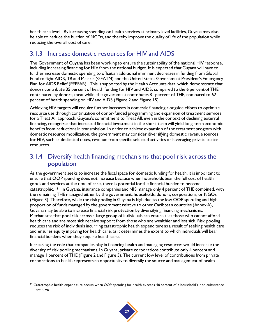health care level. By increasing spending on health services at primary level facilities, Guyana may also be able to reduce the burden of NCDs, and thereby improve the quality of life of the population while reducing the overall cost of care.

#### 3.1.3 Increase domestic resources for HIV and AIDS

The Government of Guyana has been working to ensure the sustainability of the national HIV response, including increasing financing for HIV from the national budget. It is expected that Guyana will have to further increase domestic spending to offset an additional imminent decreases in funding from Global Fund to fight AIDS, TB and Malaria (GFATM) and the United States Government President's Emergency Plan for AIDS Relief (PEPFAR). This is supported by the Health Accounts data, which demonstrate that donors contribute 35 percent of health funding for HIV and AIDS, compared to the 6 percent of THE contributed by donors; meanwhile, the government contributes 81 percent of THE, compared to 62 percent of health spending on HIV and AIDS [\(Figure 2](#page-27-0) an[d Figure 15\)](#page-35-0).

Achieving HIV targets will require further increases in domestic financing alongside efforts to optimize resource use through continuation of donor-funded programming and expansion of treatment services for a Treat All approach. Guyana's commitment to Treat All, even in the context of declining external financing, recognizes that increased financial investment in the short-term will yield long-term economic benefits from reductions in transmission. In order to achieve expansion of the treatment program with domestic resource mobilization, the government may consider diversifying domestic revenue sources for HIV, such as dedicated taxes, revenue from specific selected activities or leveraging private sector resources.

#### 3.1.4 Diversify health financing mechanisms that pool risk across the population

As the government seeks to increase the fiscal space for domestic funding for health, it is important to ensure that OOP spending does not increase because when households bear the full cost of health goods and services at the time of care, there is potential for the financial burden to become catastrophic. 11 In Guyana, insurance companies and NIS manage only 4 percent of THE combined, with the remaining THE managed either by the government, households, donors, corporations, or NGOs [\(Figure 3\)](#page-28-0). Therefore, while the risk pooling in Guyana is high due to the low OOP spending and high proportion of funds managed by the government relative to other Caribbean countries (Annex A), Guyana may be able to increase financial risk protection by diversifying financing mechanisms. Mechanisms that pool risk across a large group of individuals can ensure that those who cannot afford health care and are most sick receive support from those who are wealthier and less sick. Risk pooling reduces the risk of individuals incurring catastrophic health expenditure as a result of seeking health care and ensures equity in paying for health care, as it determines the extent to which individuals will bear financial burdens when they require health care.

Increasing the role that companies play in financing health and managing resources would increase the diversity of risk pooling mechanisms. In Guyana, private corporations contribute only 4 percent and manage 1 percent of THE [\(Figure 2](#page-27-0) an[d Figure 3\)](#page-28-0). The current low level of contributions from private corporations to health represents an opportunity to diversify the source and management of health

 $11$  Catastrophic health expenditure occurs when OOP spending for health exceeds 40 percent of a household's non-subsistence spending.

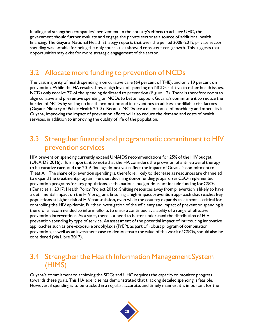funding and strengthen companies' involvement. In the country's efforts to achieve UHC, the government should further evaluate and engage the private sector as a source of additional health financing. The Guyana National Health Strategy reports that over the period 2008-2012, private sector spending was notable for being the only source that showed consistent real growth. This suggests that opportunities may exist for more strategic engagement of the sector.

#### 3.2 Allocate more funding to prevention of NCDs

The vast majority of health spending is on curative care (64 percent of THE), and only 19 percent on prevention. While the HA results show a high level of spending on NCDs relative to other health issues, NCDs only receive 2% of the spending dedicated to prevention [\(Figure 12](#page-33-0)). There is therefore room to align curative and preventive spending on NCDs to better support Guyana's commitment to reduce the burden of NCDs by scaling up health promotion and interventions to address modifiable risk factors (Guyana Ministry of Public Health 2013). Because NCDs are a major cause of morbidity and mortality in Guyana, improving the impact of prevention efforts will also reduce the demand and costs of health services, in addition to improving the quality of life of the population.

#### 3.3 Strengthen financial and programmatic commitment to HIV prevention services

HIV prevention spending currently exceed UNAIDS recommendations for 25% of the HIV budget (UNAIDS 2016). It is important to note that the HA considers the provision of antiretroviral therapy to be curative care, and the 2016 findings do not yet reflect the impact of Guyana's commitment to Treat All. The share of prevention spending is, therefore, likely to decrease as resources are channeled to expand the treatment program. Further, declining donor funding jeopardizes CSO-implemented prevention programs for key populations, as the national budget does not include funding for CSOs (Cenac et al. 2017; Health Policy Project 2016). Shifting resources away from prevention is likely to have a detrimental impact on the HIV program. Ensuring a high-impact prevention approach that reaches key populations at higher risk of HIV transmission, even while the country expands treatment, is critical for controlling the HIV epidemic. Further investigation of the efficiency and impact of prevention spending is therefore recommended to inform efforts to ensure continued availability of a range of effective prevention interventions. As a start, there is a need to better understand the distribution of HIV prevention spending by type of service. An assessment of the potential impact of introducing innovative approaches such as pre-exposure prophylaxis (PrEP), as part of robust program of combination prevention, as well as an investment case to demonstrate the value of the work of CSOs, should also be considered (Via Libre 2017).

#### 3.4 Strengthen the Health Information Management System (HIMS)

Guyana's commitment to achieving the SDGs and UHC requires the capacity to monitor progress towards these goals. This HA exercise has demonstrated that tracking detailed spending is feasible. However, if spending is to be tracked in a regular, accurate, and timely manner, it is important for the

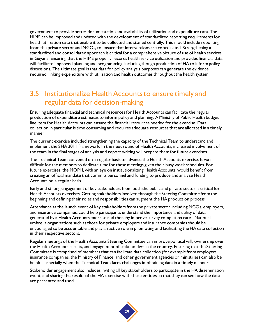government to provide better documentation and availability of utilization and expenditure data. The HIMS can be improved and updated with the development of standardized reporting requirements for health utilization data that enable it to be collected and stored centrally. This should include reporting from the private sector and NGOs, to ensure that interventions are coordinated. Strengthening a standardized and consolidated approach is critical for a comprehensive picture of use of health services in Guyana. Ensuring that the HIMS properly records health service utilization and provides financial data will facilitate improved planning and programming, including though production of HA to inform policy discussions. The ultimate goal is that data for policy analysis purposes can generate the evidence required, linking expenditure with utilization and health outcomes throughout the health system.

#### 3.5 Institutionalize Health Accounts to ensure timely and regular data for decision-making

Ensuring adequate financial and technical resources for Health Accounts can facilitate the regular production of expenditure estimates to inform policy and planning. A Ministry of Public Health budget line item for Health Accounts can ensure the financial resources needed for the exercise. Data collection in particular is time consuming and requires adequate resources that are allocated in a timely manner.

The current exercise included strengthening the capacity of the Technical Team to understand and implement the SHA 2011 framework. In the next round of Health Accounts, increased involvement of the team in the final stages of analysis and report writing will prepare them for future exercises.

The Technical Team convened on a regular basis to advance the Health Accounts exercise. It was difficult for the members to dedicate time for these meetings given their busy work schedules. For future exercises, the MOPH, with an eye on institutionalizing Health Accounts, would benefit from creating an official mandate that commits personnel and funding to produce and analyze Health Accounts on a regular basis.

Early and strong engagement of key stakeholders from both the public and private sector is critical for Health Accounts exercises. Getting stakeholders involved through the Steering Committee from the beginning and defining their roles and responsibilities can augment the HA production process.

Attendance at the launch event of key stakeholders from the private sector including NGOs, employers, and insurance companies, could help participants understand the importance and utility of data generated by a Health Accounts exercise and thereby improve survey completion rates. National umbrella organizations such as those for private employers and insurance companies should be encouraged to be accountable and play an active role in promoting and facilitating the HA data collection in their respective sectors.

Regular meetings of the Health Accounts Steering Committee can improve political will, ownership over the Health Accounts results, and engagement of stakeholders in the country. Ensuring that the Steering Committee is comprised of members that can facilitate data collection (for example from employers, insurance companies, the Ministry of Finance, and other government agencies or ministries) can also be helpful, especially when the Technical Team faces challenges in obtaining data in a timely manner.

Stakeholder engagement also includes inviting all key stakeholders to participate in the HA dissemination event, and sharing the results of the HA exercise with these entities so that they can see how the data are presented and used.

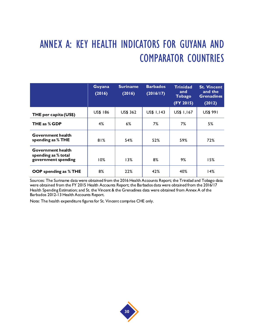# ANNEX A: KEY HEALTH INDICATORS FOR GUYANA AND COMPARATOR COUNTRIES

|                                                                 | Guyana<br>(2016) | <b>Suriname</b><br>(2016) | <b>Barbados</b><br>(2016/17) | <b>Trinidad</b><br>and<br><b>Tobago</b><br>(FY 2015) | <b>St. Vincent</b><br>and the<br><b>Grenadines</b><br>(2012) |
|-----------------------------------------------------------------|------------------|---------------------------|------------------------------|------------------------------------------------------|--------------------------------------------------------------|
| THE per capita (US\$)                                           | <b>US\$ 186</b>  | <b>US\$ 362</b>           | US\$ 1,143                   | US\$ 1,167                                           | <b>US\$ 991</b>                                              |
| THE as % GDP                                                    | 4%               | $6\%$                     | 7%                           | 7%                                                   | 5%                                                           |
| Government health<br>spending as % THE                          | 81%              | 54%                       | 52%                          | 59%                                                  | 72%                                                          |
| Government health<br>spending as % total<br>government spending | 10%              | 13%                       | 8%                           | 9%                                                   | 15%                                                          |
| <b>OOP</b> spending as % THE                                    | 8%               | 22%                       | 42%                          | 40%                                                  | 14%                                                          |

Sources: The Suriname data were obtained from the 2016 Health Accounts Report; the Trinidad and Tobago data were obtained from the FY 2015 Health Accounts Report; the Barbados data were obtained from the 2016/17 Health Spending Estimation; and St. the Vincent & the Grenadines data were obtained from Annex A of the Barbados 2012-13 Health Accounts Report.

Note: The health expenditure figures for St. Vincent comprise CHE only.

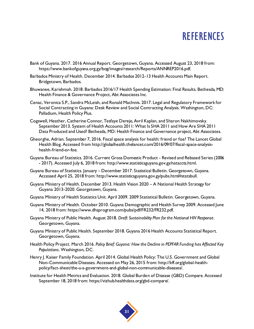## **REFERENCES**

- Bank of Guyana. 2017. 2016 Annual Report. Georgetown, Guyana. Accessed August 23, 2018 from: https://www.bankofguyana.org.gy/bog/images/research/Reports/ANNREP2016.pdf.
- Barbados Ministry of Health. December 2014. Barbados 2012-13 Health Accounts Main Report. Bridgetown, Barbados.
- Bhuwanee, Karishmah. 2018. Barbados 2016/17 Health Spending Estimation: Final Results. Bethesda, MD: Health Finance & Governance Project, Abt Associates Inc.
- Cenac, Veronica S.P., Sandra McLeish, and Ronald MacInnis. 2017. Legal and Regulatory Framework for Social Contracting in Guyana: Desk Review and Social Contracting Analysis. Washington, DC: Palladium, Health Policy Plus.
- Cogswell, Heather, Catherine Connor, Tesfaye Dereje, Avril Kaplan, and Sharon Nakhimovsky. September 2013. System of Health Accounts 2011: What Is SHA 2011 and How Are SHA 2011 Data Produced and Used? Bethesda, MD: Health Finance and Governance project, Abt Associates.
- Gheorghe, Adrian. September 7, 2016. Fiscal space analysis for health: friend or foe? The Lancet Global Health Blog. Accessed from http://globalhealth.thelancet.com/2016/09/07/fiscal-space-analysishealth-friend-or-foe.
- Guyana Bureau of Statistics. 2016. Current Gross Domestic Product Revised and Rebased Series (2006 - 2017). Accessed July 6, 2018 from: http://www.statisticsguyana.gov.gy/nataccts.html.
- Guyana Bureau of Statistics. January December 2017. Statistical Bulletin. Georgetown, Guyana. Accessed April 25, 2018 from: http://www.statisticsguyana.gov.gy/pubs.html#statsbull.
- Guyana Ministry of Health. December 2013. Health Vision 2020 A National Health Strategy for Guyana 2013-2020. Georgetown, Guyana.
- Guyana Ministry of Health Statistics Unit. April 2009. 2009 Statistical Bulletin. Georgetown, Guyana.
- Guyana Ministry of Health. October 2010. Guyana Demographic and Health Survey 2009. Accessed June 14, 2018 from: https://www.dhsprogram.com/pubs/pdf/FR232/FR232.pdf.
- Guyana Ministry of Public Health. August 2018. *Draft Sustainability Plan for the National HIV Response*. Georgetown, Guyana.
- Guyana Ministry of Public Health. September 2018. Guyana 2016 Health Accounts Statistical Report. Georgetown, Guyana.
- Health Policy Project. March 2016. *Policy Brief: Guyana: How the Decline in PEPFAR Funding has Affected Key Populations*. Washington, DC.
- Henry J. Kaiser Family Foundation. April 2014. Global Health Policy: The U.S. Government and Global Non-Communicable Diseases. Accessed on May 26, 2015 from: http://kff.org/global-healthpolicy/fact-sheet/the-u-s-government-and-global-non-communicable-diseases/.
- Institute for Health Metrics and Evaluation. 2018. Global Burden of Disease (GBD) Compare. Accessed September 18, 2018 from: https://vizhub.healthdata.org/gbd-compare/.

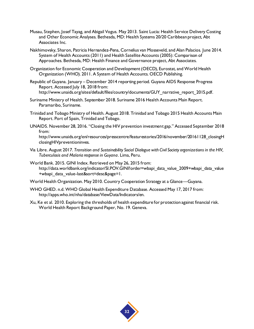- Musau, Stephen, Josef Tayag, and Abigail Vogus. May 2013. Saint Lucia: Health Service Delivery Costing and Other Economic Analyses. Bethesda, MD: Health Systems 20/20 Caribbean project, Abt Associates Inc.
- Nakhimovsky, Sharon, Patricia Hernandez-Pena, Cornelius van Mosseveld, and Alan Palacios. June 2014. System of Health Accounts (2011) and Health Satellite Accounts (2005): Comparison of Approaches. Bethesda, MD: Health Finance and Governance project, Abt Associates.
- Organization for Economic Cooperation and Development (OECD), Eurostat, and World Health Organization (WHO). 2011. A System of Health Accounts. OECD Publishing.
- Republic of Guyana. January December 2014 reporting period. Guyana AIDS Response Progress Report. Accessed July 18, 2018 from: http://www.unaids.org/sites/default/files/country/documents/GUY\_narrative\_report\_2015.pdf.
- Suriname Ministry of Health. September 2018. Suriname 2016 Health Accounts Main Report. Paramaribo, Suriname.
- Trinidad and Tobago Ministry of Health. August 2018. Trinidad and Tobago 2015 Health Accounts Main Report. Port of Spain, Trinidad and Tobago.
- UNAIDS. November 28, 2016. "Closing the HIV prevention investment gap." Accessed September 2018 from:

http://www.unaids.org/en/resources/presscentre/featurestories/2016/november/20161128 closingH closingHIVpreventioninves.

- Via Libre. August 2017. *Transition and Sustainability Social Dialogue with Civil Society organizations in the HIV, Tuberculosis and Malaria response in Guyana*. Lima, Peru.
- World Bank. 2015. GINI Index. Retrieved on May 26, 2015 from: http://data.worldbank.org/indicator/SI.POV.GINI?order=wbapi\_data\_value\_2009+wbapi\_data\_value +wbapi\_data\_value-last&sort=desc&page=1.
- World Health Organization. May 2010. Country Cooperation Strategy at a Glance—Guyana.
- WHO GHED. n.d. WHO Global Health Expenditure Database. Accessed May 17, 2017 from: http://apps.who.int/nha/database/ViewData/Indicators/en.
- Xu, Ke et al. 2010. Exploring the thresholds of health expenditure for protection against financial risk. World Health Report Background Paper, No. 19. Geneva.